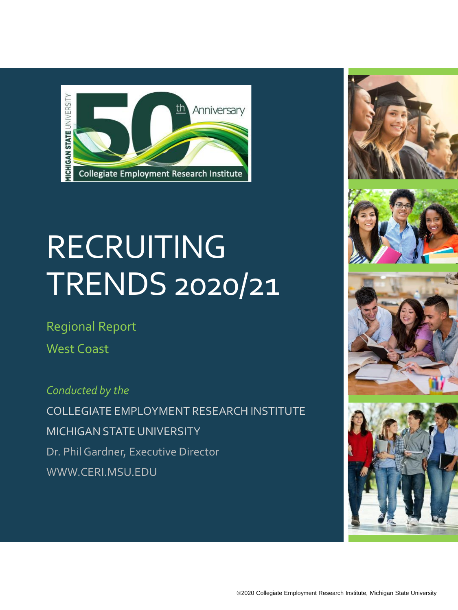

# **RECRUITING** TRENDS 2020/21

Regional Report

West Coast

*Conducted by the* COLLEGIATE EMPLOYMENT RESEARCH INSTITUTE MICHIGAN STATE UNIVERSITY Dr. Phil Gardner, Executive Director WWW.CERI.MSU.EDU







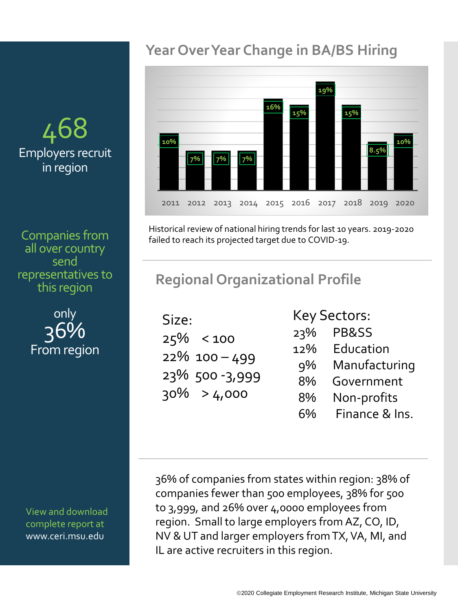# 468 Employers recruit in region

Companies from all over country send representatives to this region

> only 36% From region

View and download complete report at www.ceri.msu.edu

## **Year Over Year Change in BA/BS Hiring**



Historical review of national hiring trends for last 10 years. 2019-2020 failed to reach its projected target due to COVID-19.

## **Regional Organizational Profile**

| Size: |                  |
|-------|------------------|
|       | $25\% < 100$     |
|       | $22\%$ 100 – 499 |
|       | 23% 500-3,999    |
|       | $30\% > 4,000$   |
|       |                  |

Key Sectors:

- 23% PB&SS
- 12% Education
- 9% Manufacturing
	- 8% Government
	- 8% Non-profits
	- 6% Finance & Ins.

36% of companies from states within region: 38% of companies fewer than 500 employees, 38% for 500 to 3,999, and 26% over 4,0000 employees from region. Small to large employers from AZ, CO, ID, NV & UT and larger employers from TX, VA, MI, and IL are active recruiters in this region.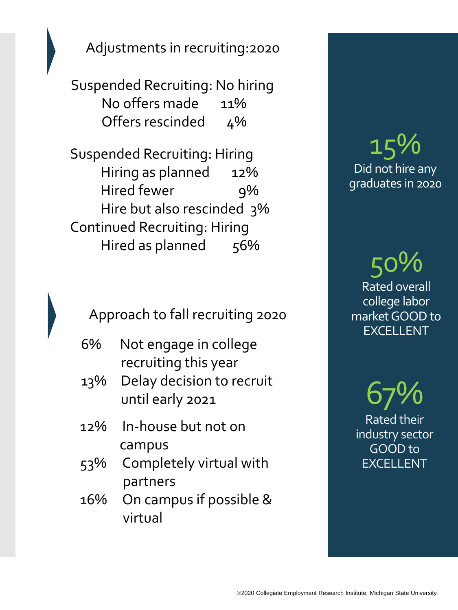Adjustments in recruiting:2020

Suspended Recruiting: No hiring No offers made 11% Offers rescinded 4%

Suspended Recruiting: Hiring Hiring as planned 12% Hired fewer 9% Hire but also rescinded 3% Continued Recruiting: Hiring Hired as planned 56%

Approach to fall recruiting 2020

- 6% Not engage in college recruiting this year
- 13% Delay decision to recruit until early 2021
- 12% In-house but not on campus
- 53% Completely virtual with partners
- 16% On campus if possible & virtual

# 15% Did not hire any graduates in 2020

50% Rated overall college labor market GOOD to EXCELLENT

67% Rated their industry sector GOOD to EXCELLENT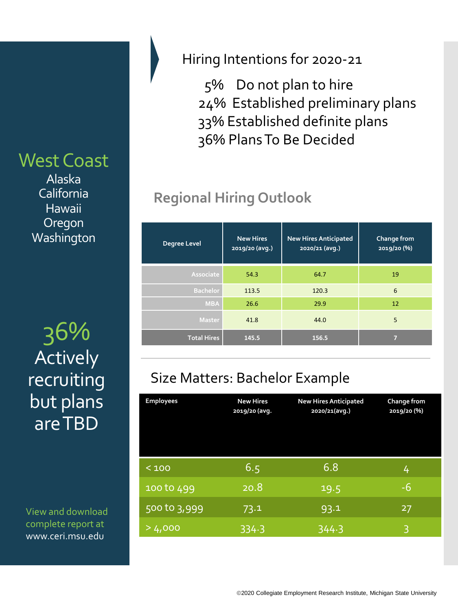## West Coast

Alaska California Hawaii **Oregon Washington** 

36% **Total Hires 145.5 156.5 <sup>7</sup>** Actively recruiting but plans are TBD

View and download complete report at www.ceri.msu.edu

#### Hiring Intentions for 2020-21

5% Do not plan to hire 24% Established preliminary plans 33% Established definite plans 36% Plans To Be Decided

# **Regional Hiring Outlook**

| Degree Level       | <b>New Hires</b><br>2019/20 (avg.) | <b>New Hires Anticipated</b><br>2020/21 (avg.) | Change from<br>2019/20 (%) |
|--------------------|------------------------------------|------------------------------------------------|----------------------------|
| Associate          | 54.3                               | 64.7                                           | 19                         |
| <b>Bachelor</b>    | 113.5                              | 120.3                                          | 6                          |
| <b>MBA</b>         | 26.6                               | 29.9                                           | 12                         |
| <b>Master</b>      | 41.8                               | 44.0                                           | 5                          |
| <b>Total Hires</b> | 145.5                              | 156.5                                          | 5                          |

## Size Matters: Bachelor Example

| <b>Employees</b> | <b>New Hires</b><br>2019/20 (avg. | <b>New Hires Anticipated</b><br>2020/21(avg.) | Change from<br>2019/20 (%) |
|------------------|-----------------------------------|-----------------------------------------------|----------------------------|
| < 100            | 6.5                               | 6.8                                           | 4                          |
| 100 to 499       | 20.8                              | 19.5                                          | $-6$                       |
| 500 to 3,999     | 73.1                              | 93.1                                          | 27                         |
| >4,000           | 334.3                             | 344.3                                         | 3                          |